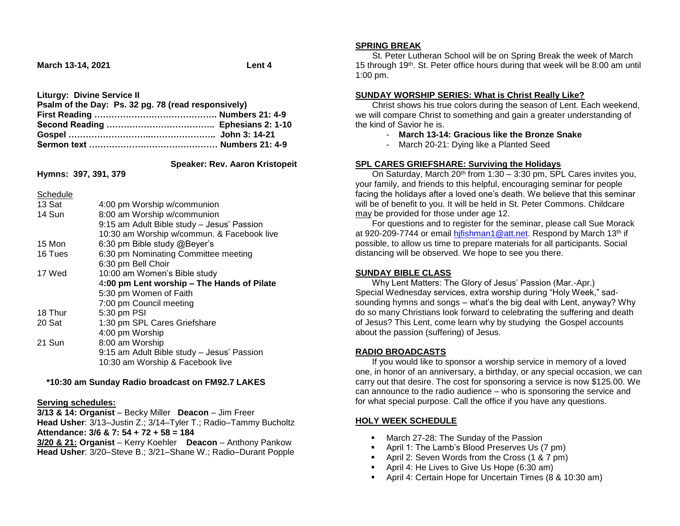**March 13-14, 2021** Lent 4

**Liturgy: Divine Service II**

| Psalm of the Day: Ps. 32 pg. 78 (read responsively) |  |
|-----------------------------------------------------|--|
|                                                     |  |
|                                                     |  |
|                                                     |  |
|                                                     |  |

 **Speaker: Rev. Aaron Kristopeit**

**Hymns: 397, 391, 379**

#### Schedule

| 13 Sat  | 4:00 pm Worship w/communion                |
|---------|--------------------------------------------|
| 14 Sun  | 8:00 am Worship w/communion                |
|         | 9:15 am Adult Bible study - Jesus' Passion |
|         | 10:30 am Worship w/commun. & Facebook live |
| 15 Mon  | 6:30 pm Bible study @Beyer's               |
| 16 Tues | 6:30 pm Nominating Committee meeting       |
|         | 6:30 pm Bell Choir                         |
| 17 Wed  | 10:00 am Women's Bible study               |
|         | 4:00 pm Lent worship – The Hands of Pilate |
|         | 5:30 pm Women of Faith                     |
|         | 7:00 pm Council meeting                    |
| 18 Thur | 5:30 pm PSI                                |
| 20 Sat  | 1:30 pm SPL Cares Griefshare               |
|         | 4:00 pm Worship                            |
| 21 Sun  | 8:00 am Worship                            |
|         | 9:15 am Adult Bible study - Jesus' Passion |
|         | 10:30 am Worship & Facebook live           |

## **\*10:30 am Sunday Radio broadcast on FM92.7 LAKES**

#### **Serving schedules:**

**3/13 & 14: Organist** – Becky Miller **Deacon** – Jim Freer **Head Usher**: 3/13–Justin Z.; 3/14–Tyler T.; Radio–Tammy Bucholtz **Attendance: 3/6 & 7: 54 + 72 + 58 = 184**

**3/20 & 21: Organist** – Kerry Koehler **Deacon** – Anthony Pankow **Head Usher**: 3/20–Steve B.; 3/21–Shane W.; Radio–Durant Popple

#### **SPRING BREAK**

 St. Peter Lutheran School will be on Spring Break the week of March 15 through 19th. St. Peter office hours during that week will be 8:00 am until 1:00 pm.

#### **SUNDAY WORSHIP SERIES: What is Christ Really Like?**

 Christ shows his true colors during the season of Lent. Each weekend, we will compare Christ to something and gain a greater understanding of the kind of Savior he is.

- **March 13-14: Gracious like the Bronze Snake**
- March 20-21: Dying like a Planted Seed

## **SPL CARES GRIEFSHARE: Surviving the Holidays**

On Saturday, March  $20<sup>th</sup>$  from 1:30 – 3:30 pm, SPL Cares invites you, your family, and friends to this helpful, encouraging seminar for people facing the holidays after a loved one's death. We believe that this seminar will be of benefit to you. It will be held in St. Peter Commons. Childcare may be provided for those under age 12.

 For questions and to register for the seminar, please call Sue Morack at 920-209-7744 or email hifishman1@att.net. Respond by March 13<sup>th</sup> if possible, to allow us time to prepare materials for all participants. Social distancing will be observed. We hope to see you there.

## **SUNDAY BIBLE CLASS**

 Why Lent Matters: The Glory of Jesus' Passion (Mar.-Apr.) Special Wednesday services, extra worship during "Holy Week," sadsounding hymns and songs – what's the big deal with Lent, anyway? Why do so many Christians look forward to celebrating the suffering and death of Jesus? This Lent, come learn why by studying the Gospel accounts about the passion (suffering) of Jesus.

## **RADIO BROADCASTS**

 If you would like to sponsor a worship service in memory of a loved one, in honor of an anniversary, a birthday, or any special occasion, we can carry out that desire. The cost for sponsoring a service is now \$125.00. We can announce to the radio audience – who is sponsoring the service and for what special purpose. Call the office if you have any questions.

# **HOLY WEEK SCHEDULE**

- **March 27-28: The Sunday of the Passion**
- **April 1: The Lamb's Blood Preserves Us (7 pm)**
- **April 2: Seven Words from the Cross (1 & 7 pm)**
- April 4: He Lives to Give Us Hope (6:30 am)
- April 4: Certain Hope for Uncertain Times (8 & 10:30 am)